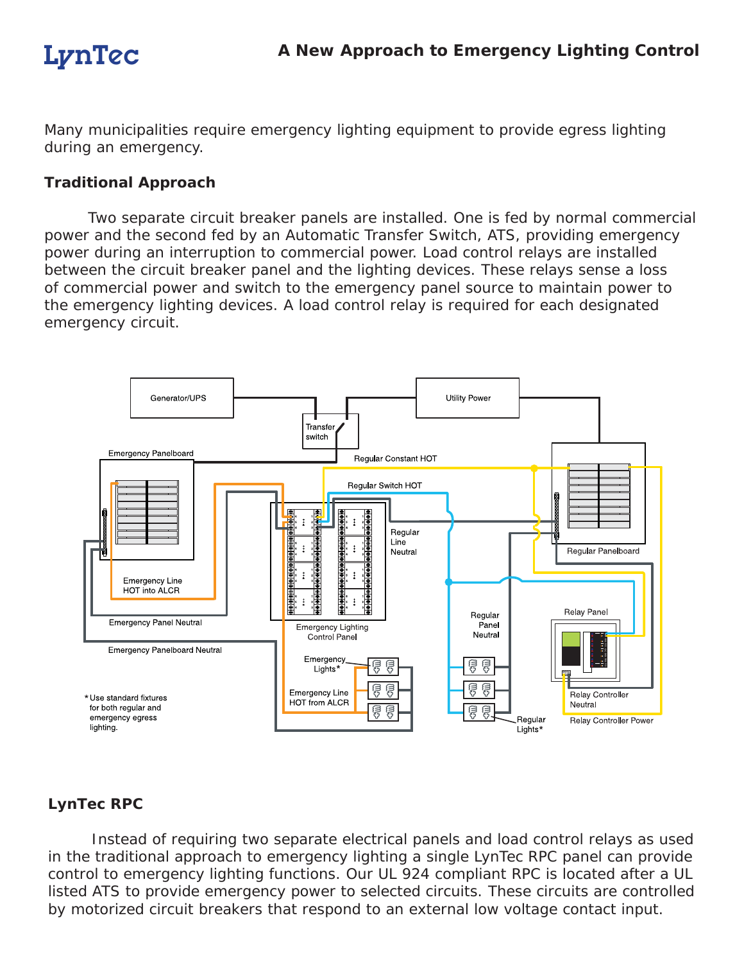Many municipalities require emergency lighting equipment to provide egress lighting during an emergency.

## **Traditional Approach**

 Two separate circuit breaker panels are installed. One is fed by normal commercial power and the second fed by an Automatic Transfer Switch, ATS, providing emergency power during an interruption to commercial power. Load control relays are installed between the circuit breaker panel and the lighting devices. These relays sense a loss of commercial power and switch to the emergency panel source to maintain power to the emergency lighting devices. A load control relay is required for each designated emergency circuit.



## **LynTec RPC**

 Instead of requiring two separate electrical panels and load control relays as used in the traditional approach to emergency lighting a single LynTec RPC panel can provide control to emergency lighting functions. Our UL 924 compliant RPC is located after a UL listed ATS to provide emergency power to selected circuits. These circuits are controlled by motorized circuit breakers that respond to an external low voltage contact input.